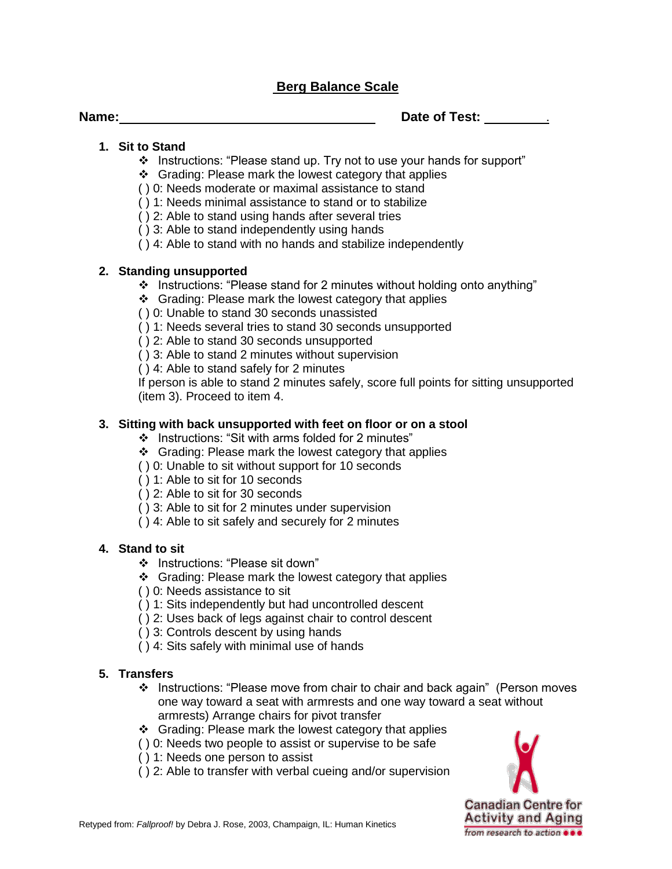## **Berg Balance Scale**

**Name: Date of Test:** *.* **<b>Date of Test:** *. . . .* **<b>***. . . . .* **<b>***. . . . . . . . . . . . . . . . . . . . .* 

#### **1. Sit to Stand**

- \* Instructions: "Please stand up. Try not to use your hands for support"
- ❖ Grading: Please mark the lowest category that applies
- ( ) 0: Needs moderate or maximal assistance to stand
- ( ) 1: Needs minimal assistance to stand or to stabilize
- ( ) 2: Able to stand using hands after several tries
- ( ) 3: Able to stand independently using hands
- ( ) 4: Able to stand with no hands and stabilize independently

#### **2. Standing unsupported**

- $\cdot$  Instructions: "Please stand for 2 minutes without holding onto anything"
- ❖ Grading: Please mark the lowest category that applies
- ( ) 0: Unable to stand 30 seconds unassisted
- ( ) 1: Needs several tries to stand 30 seconds unsupported
- ( ) 2: Able to stand 30 seconds unsupported
- ( ) 3: Able to stand 2 minutes without supervision
- ( ) 4: Able to stand safely for 2 minutes

If person is able to stand 2 minutes safely, score full points for sitting unsupported (item 3). Proceed to item 4.

#### **3. Sitting with back unsupported with feet on floor or on a stool**

- Instructions: "Sit with arms folded for 2 minutes"
- ❖ Grading: Please mark the lowest category that applies
- ( ) 0: Unable to sit without support for 10 seconds
- ( ) 1: Able to sit for 10 seconds
- ( ) 2: Able to sit for 30 seconds
- ( ) 3: Able to sit for 2 minutes under supervision
- ( ) 4: Able to sit safely and securely for 2 minutes

## **4. Stand to sit**

- Instructions: "Please sit down"
- ❖ Grading: Please mark the lowest category that applies
- ( ) 0: Needs assistance to sit
- ( ) 1: Sits independently but had uncontrolled descent
- ( ) 2: Uses back of legs against chair to control descent
- ( ) 3: Controls descent by using hands
- ( ) 4: Sits safely with minimal use of hands

## **5. Transfers**

- Instructions: "Please move from chair to chair and back again" (Person moves one way toward a seat with armrests and one way toward a seat without armrests) Arrange chairs for pivot transfer
- ❖ Grading: Please mark the lowest category that applies
- ( ) 0: Needs two people to assist or supervise to be safe
- ( ) 1: Needs one person to assist
- ( ) 2: Able to transfer with verbal cueing and/or supervision

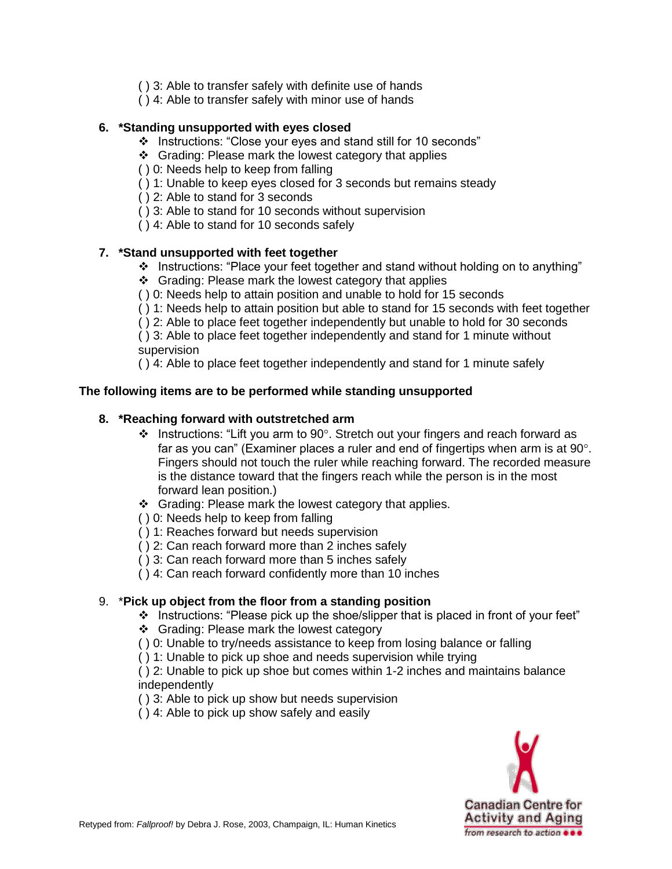- ( ) 3: Able to transfer safely with definite use of hands
- ( ) 4: Able to transfer safely with minor use of hands

## **6. \*Standing unsupported with eyes closed**

- Instructions: "Close your eyes and stand still for 10 seconds"
- ❖ Grading: Please mark the lowest category that applies
- ( ) 0: Needs help to keep from falling
- ( ) 1: Unable to keep eyes closed for 3 seconds but remains steady
- ( ) 2: Able to stand for 3 seconds
- ( ) 3: Able to stand for 10 seconds without supervision
- ( ) 4: Able to stand for 10 seconds safely

#### **7. \*Stand unsupported with feet together**

- Instructions: "Place your feet together and stand without holding on to anything"
- ❖ Grading: Please mark the lowest category that applies
- ( ) 0: Needs help to attain position and unable to hold for 15 seconds
- ( ) 1: Needs help to attain position but able to stand for 15 seconds with feet together
- ( ) 2: Able to place feet together independently but unable to hold for 30 seconds

( ) 3: Able to place feet together independently and stand for 1 minute without supervision

( ) 4: Able to place feet together independently and stand for 1 minute safely

## **The following items are to be performed while standing unsupported**

#### **8. \*Reaching forward with outstretched arm**

- $\cdot$  Instructions: "Lift you arm to 90°. Stretch out your fingers and reach forward as far as you can" (Examiner places a ruler and end of fingertips when arm is at  $90^\circ$ . Fingers should not touch the ruler while reaching forward. The recorded measure is the distance toward that the fingers reach while the person is in the most forward lean position.)
- ❖ Grading: Please mark the lowest category that applies.
- ( ) 0: Needs help to keep from falling
- ( ) 1: Reaches forward but needs supervision
- ( ) 2: Can reach forward more than 2 inches safely
- ( ) 3: Can reach forward more than 5 inches safely
- ( ) 4: Can reach forward confidently more than 10 inches

## 9. \***Pick up object from the floor from a standing position**

- \* Instructions: "Please pick up the shoe/slipper that is placed in front of your feet"
- ❖ Grading: Please mark the lowest category
- ( ) 0: Unable to try/needs assistance to keep from losing balance or falling
- ( ) 1: Unable to pick up shoe and needs supervision while trying

( ) 2: Unable to pick up shoe but comes within 1-2 inches and maintains balance independently

( ) 3: Able to pick up show but needs supervision

( ) 4: Able to pick up show safely and easily

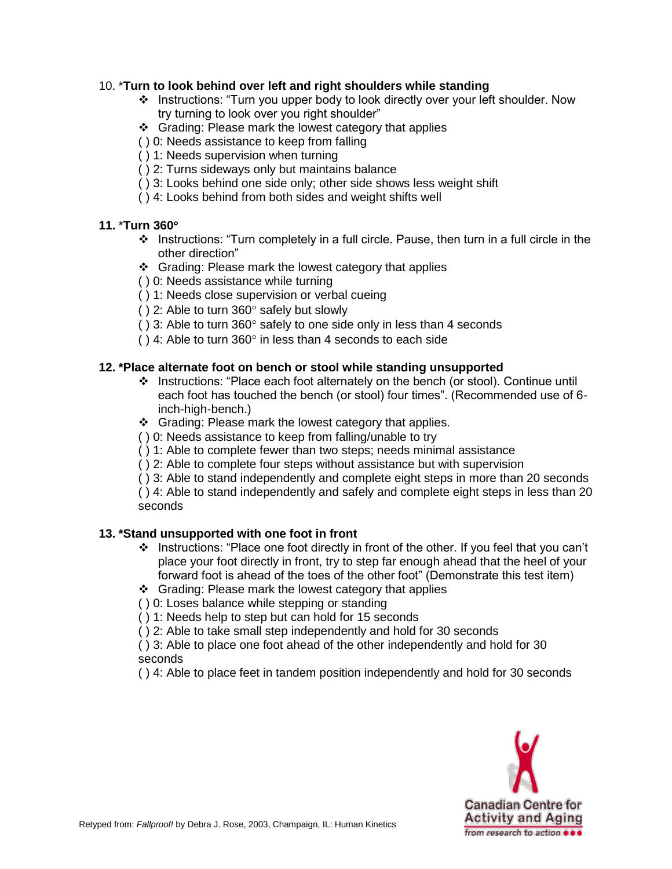## 10. \***Turn to look behind over left and right shoulders while standing**

- Instructions: "Turn you upper body to look directly over your left shoulder. Now try turning to look over you right shoulder"
- ❖ Grading: Please mark the lowest category that applies
- ( ) 0: Needs assistance to keep from falling
- ( ) 1: Needs supervision when turning
- ( ) 2: Turns sideways only but maintains balance
- ( ) 3: Looks behind one side only; other side shows less weight shift
- ( ) 4: Looks behind from both sides and weight shifts well

## **11.** \***Turn 360**

- $\div$  Instructions: "Turn completely in a full circle. Pause, then turn in a full circle in the other direction"
- ❖ Grading: Please mark the lowest category that applies
- ( ) 0: Needs assistance while turning
- ( ) 1: Needs close supervision or verbal cueing
- ( $)$  2: Able to turn 360 $^{\circ}$  safely but slowly
- ( $)$  3: Able to turn 360 $^{\circ}$  safely to one side only in less than 4 seconds
- ( $)$  4: Able to turn 360 $^{\circ}$  in less than 4 seconds to each side

## **12. \*Place alternate foot on bench or stool while standing unsupported**

- Instructions: "Place each foot alternately on the bench (or stool). Continue until each foot has touched the bench (or stool) four times". (Recommended use of 6 inch-high-bench.)
- Grading: Please mark the lowest category that applies.
- ( ) 0: Needs assistance to keep from falling/unable to try
- ( ) 1: Able to complete fewer than two steps; needs minimal assistance
- ( ) 2: Able to complete four steps without assistance but with supervision
- ( ) 3: Able to stand independently and complete eight steps in more than 20 seconds

( ) 4: Able to stand independently and safely and complete eight steps in less than 20 seconds

## **13. \*Stand unsupported with one foot in front**

- $\cdot \cdot$  Instructions: "Place one foot directly in front of the other. If you feel that you can't place your foot directly in front, try to step far enough ahead that the heel of your forward foot is ahead of the toes of the other foot" (Demonstrate this test item)
- ❖ Grading: Please mark the lowest category that applies
- ( ) 0: Loses balance while stepping or standing
- ( ) 1: Needs help to step but can hold for 15 seconds
- ( ) 2: Able to take small step independently and hold for 30 seconds
- ( ) 3: Able to place one foot ahead of the other independently and hold for 30 seconds
- ( ) 4: Able to place feet in tandem position independently and hold for 30 seconds

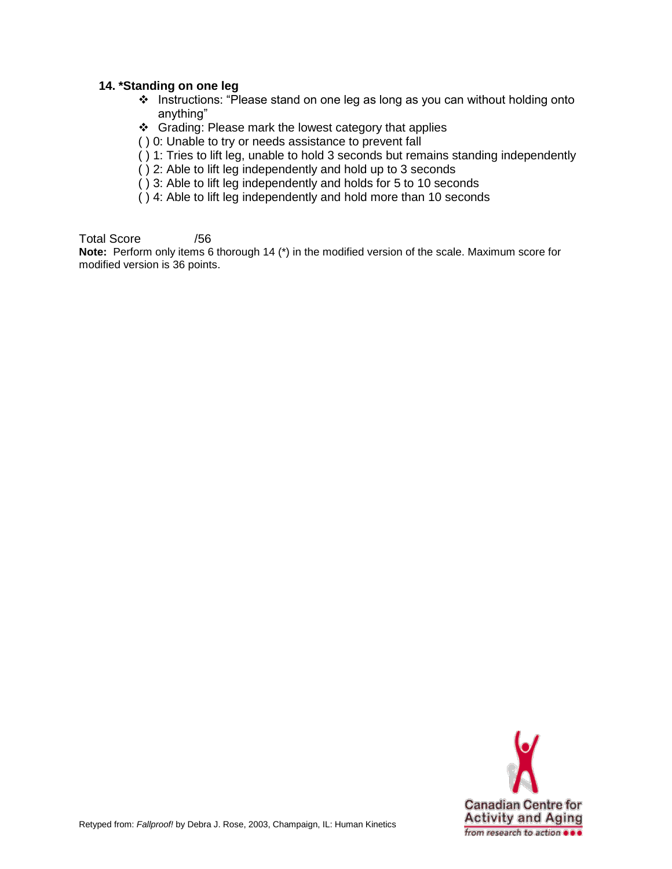#### **14. \*Standing on one leg**

- Instructions: "Please stand on one leg as long as you can without holding onto anything"
- ❖ Grading: Please mark the lowest category that applies
- ( ) 0: Unable to try or needs assistance to prevent fall
- ( ) 1: Tries to lift leg, unable to hold 3 seconds but remains standing independently
- ( ) 2: Able to lift leg independently and hold up to 3 seconds
- ( ) 3: Able to lift leg independently and holds for 5 to 10 seconds
- ( ) 4: Able to lift leg independently and hold more than 10 seconds

Total Score /56

**Note:** Perform only items 6 thorough 14 (\*) in the modified version of the scale. Maximum score for modified version is 36 points.

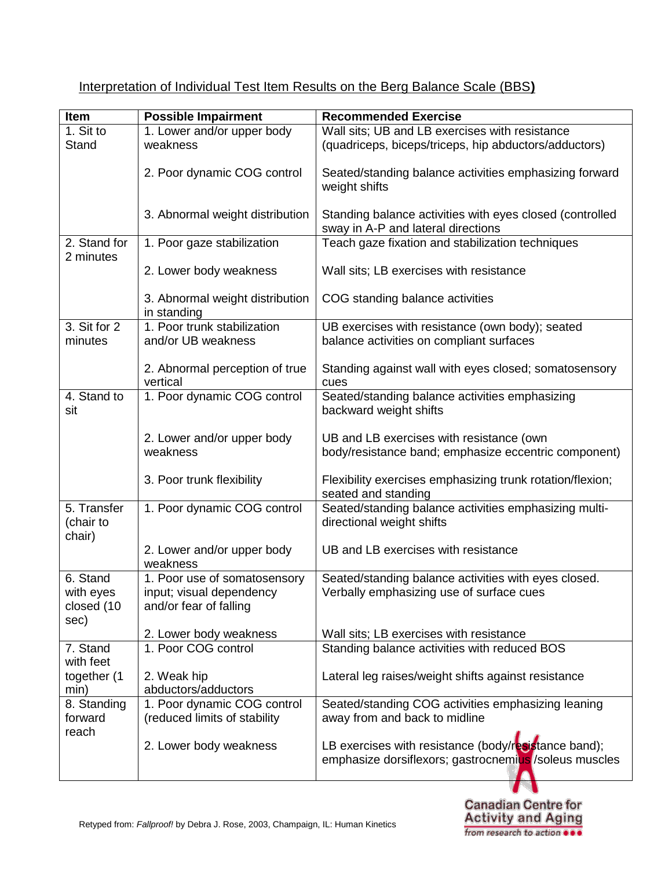| Item                               | <b>Possible Impairment</b>                                  | <b>Recommended Exercise</b>                                                                                    |
|------------------------------------|-------------------------------------------------------------|----------------------------------------------------------------------------------------------------------------|
| 1. Sit to                          | 1. Lower and/or upper body                                  | Wall sits; UB and LB exercises with resistance                                                                 |
| Stand                              | weakness                                                    | (quadriceps, biceps/triceps, hip abductors/adductors)                                                          |
|                                    | 2. Poor dynamic COG control                                 | Seated/standing balance activities emphasizing forward<br>weight shifts                                        |
|                                    | 3. Abnormal weight distribution                             | Standing balance activities with eyes closed (controlled<br>sway in A-P and lateral directions                 |
| 2. Stand for<br>2 minutes          | 1. Poor gaze stabilization                                  | Teach gaze fixation and stabilization techniques                                                               |
|                                    | 2. Lower body weakness                                      | Wall sits; LB exercises with resistance                                                                        |
|                                    | 3. Abnormal weight distribution<br>in standing              | COG standing balance activities                                                                                |
| 3. Sit for 2                       | 1. Poor trunk stabilization                                 | UB exercises with resistance (own body); seated                                                                |
| minutes                            | and/or UB weakness                                          | balance activities on compliant surfaces                                                                       |
|                                    | 2. Abnormal perception of true<br>vertical                  | Standing against wall with eyes closed; somatosensory<br>cues                                                  |
| 4. Stand to<br>sit                 | 1. Poor dynamic COG control                                 | Seated/standing balance activities emphasizing<br>backward weight shifts                                       |
|                                    | 2. Lower and/or upper body                                  | UB and LB exercises with resistance (own                                                                       |
|                                    | weakness                                                    | body/resistance band; emphasize eccentric component)                                                           |
|                                    | 3. Poor trunk flexibility                                   | Flexibility exercises emphasizing trunk rotation/flexion;<br>seated and standing                               |
| 5. Transfer<br>(chair to<br>chair) | 1. Poor dynamic COG control                                 | Seated/standing balance activities emphasizing multi-<br>directional weight shifts                             |
|                                    | 2. Lower and/or upper body<br>weakness                      | UB and LB exercises with resistance                                                                            |
| 6. Stand                           | 1. Poor use of somatosensory                                | Seated/standing balance activities with eyes closed.                                                           |
| with eyes<br>closed (10<br>sec)    | input; visual dependency<br>and/or fear of falling          | Verbally emphasizing use of surface cues                                                                       |
|                                    | 2. Lower body weakness                                      | Wall sits; LB exercises with resistance                                                                        |
| 7. Stand<br>with feet              | 1. Poor COG control                                         | Standing balance activities with reduced BOS                                                                   |
| together (1<br>min)                | 2. Weak hip<br>abductors/adductors                          | Lateral leg raises/weight shifts against resistance                                                            |
| 8. Standing<br>forward<br>reach    | 1. Poor dynamic COG control<br>(reduced limits of stability | Seated/standing COG activities emphasizing leaning<br>away from and back to midline                            |
|                                    | 2. Lower body weakness                                      | LB exercises with resistance (body/resistance band);<br>emphasize dorsiflexors; gastrocnemius / soleus muscles |

# Interpretation of Individual Test Item Results on the Berg Balance Scale (BBS**)**

**Canadian Centre for<br>Activity and Aging<br>from research to action 000** 

4